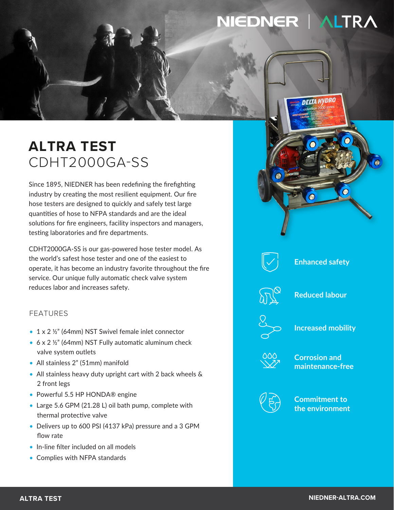# EDNER IV

# **ALTRA TEST** CDHT2000GA-SS

Since 1895, NIEDNER has been redefining the firefighting industry by creating the most resilient equipment. Our fire hose testers are designed to quickly and safely test large quantities of hose to NFPA standards and are the ideal solutions for fire engineers, facility inspectors and managers, testing laboratories and fire departments.

CDHT2000GA-SS is our gas-powered hose tester model. As the world's safest hose tester and one of the easiest to operate, it has become an industry favorite throughout the fire service. Our unique fully automatic check valve system reduces labor and increases safety.

## FEATURES

- 1 x 2 ½" (64mm) NST Swivel female inlet connector
- 6 x 2 ½" (64mm) NST Fully automatic aluminum check valve system outlets
- All stainless 2" (51mm) manifold
- All stainless heavy duty upright cart with 2 back wheels & 2 front legs
- Powerful 5.5 HP HONDA® engine
- Large 5.6 GPM (21.28 L) oil bath pump, complete with thermal protective valve
- Delivers up to 600 PSI (4137 kPa) pressure and a 3 GPM flow rate
- In-line filter included on all models
- Complies with NFPA standards



**Enhanced safety**

**DELTA HYDRO** 



**Reduced labour**



**Increased mobility**



**Corrosion and maintenance-free**



**Commitment to the environment**